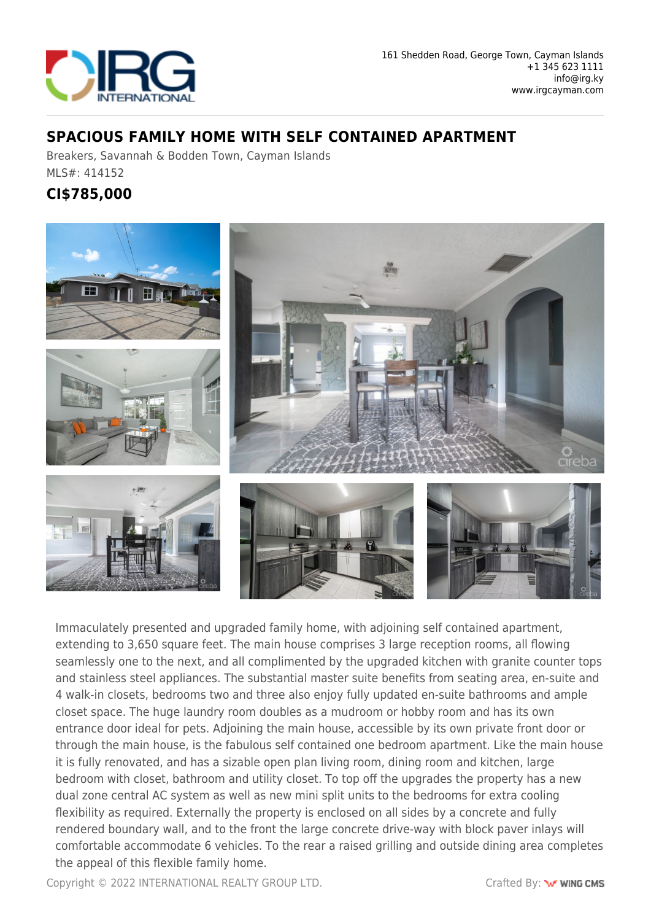

#### **SPACIOUS FAMILY HOME WITH SELF CONTAINED APARTMENT**

Breakers, Savannah & Bodden Town, Cayman Islands MLS#: 414152

### **CI\$785,000**



Immaculately presented and upgraded family home, with adjoining self contained apartment, extending to 3,650 square feet. The main house comprises 3 large reception rooms, all flowing seamlessly one to the next, and all complimented by the upgraded kitchen with granite counter tops and stainless steel appliances. The substantial master suite benefits from seating area, en-suite and 4 walk-in closets, bedrooms two and three also enjoy fully updated en-suite bathrooms and ample closet space. The huge laundry room doubles as a mudroom or hobby room and has its own entrance door ideal for pets. Adjoining the main house, accessible by its own private front door or through the main house, is the fabulous self contained one bedroom apartment. Like the main house it is fully renovated, and has a sizable open plan living room, dining room and kitchen, large bedroom with closet, bathroom and utility closet. To top off the upgrades the property has a new dual zone central AC system as well as new mini split units to the bedrooms for extra cooling flexibility as required. Externally the property is enclosed on all sides by a concrete and fully rendered boundary wall, and to the front the large concrete drive-way with block paver inlays will comfortable accommodate 6 vehicles. To the rear a raised grilling and outside dining area completes the appeal of this flexible family home.

Copyright © 2022 INTERNATIONAL REALTY GROUP LTD. Crafted By: WING CMS